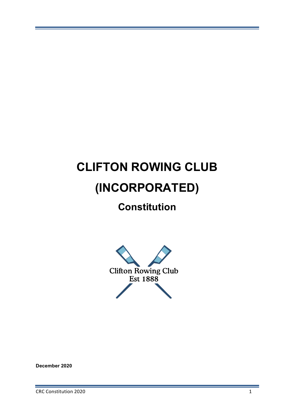# **CLIFTON ROWING CLUB (INCORPORATED)**

# **Constitution**



**December 2020**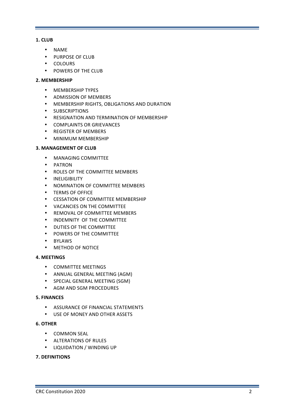# **1. CLUB**

- NAME
- PURPOSE OF CLUB
- COLOURS
- POWERS OF THE CLUB

# **2. MEMBERSHIP**

- **MEMBERSHIP TYPES**
- ADMISSION OF MEMBERS
- MEMBERSHIP RIGHTS, OBLIGATIONS AND DURATION
- SUBSCRIPTIONS
- RESIGNATION AND TERMINATION OF MEMBERSHIP
- COMPLAINTS OR GRIEVANCES
- REGISTER OF MEMBERS
- MINIMUM MEMBERSHIP

# **3. MANAGEMENT OF CLUB**

- MANAGING COMMITTEE
- PATRON
- ROLES OF THE COMMITTEE MEMBERS
- INELIGIBILITY
- NOMINATION OF COMMITTEE MEMBERS
- TERMS OF OFFICE
- **CESSATION OF COMMITTEE MEMBERSHIP**
- VACANCIES ON THE COMMITTEE
- REMOVAL OF COMMITTEE MEMBERS
- INDEMNITY OF THE COMMITTEE
- DUTIES OF THE COMMITTEE
- POWERS OF THE COMMITTEE
- BYLAWS
- METHOD OF NOTICE

# **4. MEETINGS**

- COMMITTEE MEETINGS
- ANNUAL GENERAL MEETING (AGM)
- SPECIAL GENERAL MEETING (SGM)
- AGM AND SGM PROCEDURES

# **5. FINANCES**

- ASSURANCE OF FINANCIAL STATEMENTS
- USE OF MONEY AND OTHER ASSETS

# **6. OTHER**

- COMMON SEAL
- **ALTERATIONS OF RULES**
- LIQUIDATION / WINDING UP

# **7. DEFINITIONS**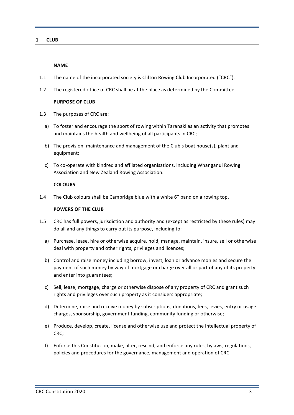# **1 CLUB**

#### **NAME**

- 1.1 The name of the incorporated society is Clifton Rowing Club Incorporated ("CRC").
- 1.2 The registered office of CRC shall be at the place as determined by the Committee.

# **PURPOSE OF CLUB**

- 1.3 The purposes of CRC are:
	- a) To foster and encourage the sport of rowing within Taranaki as an activity that promotes and maintains the health and wellbeing of all participants in CRC;
	- b) The provision, maintenance and management of the Club's boat house(s), plant and equipment;
	- c) To co-operate with kindred and affliated organisations, including Whanganui Rowing Association and New Zealand Rowing Association.

#### **COLOURS**

1.4 The Club colours shall be Cambridge blue with a white 6" band on a rowing top.

# **POWERS OF THE CLUB**

- 1.5 CRC has full powers, jurisdiction and authority and (except as restricted by these rules) may do all and any things to carry out its purpose, including to:
	- a) Purchase, lease, hire or otherwise acquire, hold, manage, maintain, insure, sell or otherwise deal with property and other rights, privileges and licences;
	- b) Control and raise money including borrow, invest, loan or advance monies and secure the payment of such money by way of mortgage or charge over all or part of any of its property and enter into guarantees;
	- c) Sell, lease, mortgage, charge or otherwise dispose of any property of CRC and grant such rights and privileges over such property as it considers appropriate:
	- d) Determine, raise and receive money by subscriptions, donations, fees, levies, entry or usage charges, sponsorship, government funding, community funding or otherwise;
	- e) Produce, develop, create, license and otherwise use and protect the intellectual property of CRC;
	- f) Enforce this Constitution, make, alter, rescind, and enforce any rules, bylaws, regulations, policies and procedures for the governance, management and operation of CRC;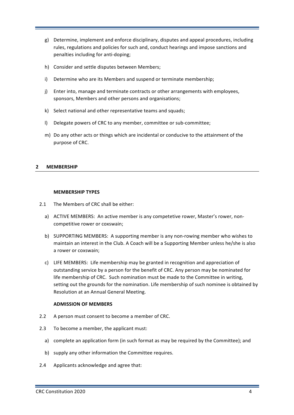- g) Determine, implement and enforce disciplinary, disputes and appeal procedures, including rules, regulations and policies for such and, conduct hearings and impose sanctions and penalties including for anti-doping;
- h) Consider and settle disputes between Members;
- i) Determine who are its Members and suspend or terminate membership;
- j) Enter into, manage and terminate contracts or other arrangements with employees, sponsors, Members and other persons and organisations;
- k) Select national and other representative teams and squads;
- I) Delegate powers of CRC to any member, committee or sub-committee:
- m) Do any other acts or things which are incidental or conducive to the attainment of the purpose of CRC.

# **2 MEMBERSHIP**

# **MEMBERSHIP TYPES**

- 2.1 The Members of CRC shall be either:
	- a) ACTIVE MEMBERS: An active member is any competetive rower, Master's rower, noncompetitive rower or coxswain;
	- b) SUPPORTING MEMBERS: A supporting member is any non-rowing member who wishes to maintain an interest in the Club. A Coach will be a Supporting Member unless he/she is also a rower or coxswain:
	- c) LIFE MEMBERS: Life membership may be granted in recognition and appreciation of outstanding service by a person for the benefit of CRC. Any person may be nominated for life membership of CRC. Such nomination must be made to the Committee in writing, setting out the grounds for the nomination. Life membership of such nominee is obtained by Resolution at an Annual General Meeting.

# **ADMISSION OF MEMBERS**

- 2.2 A person must consent to become a member of CRC.
- 2.3 To become a member, the applicant must:
	- a) complete an application form (in such format as may be required by the Committee); and
	- b) supply any other information the Committee requires.
- 2.4 Applicants acknowledge and agree that: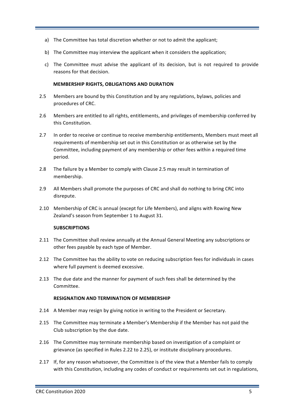- a) The Committee has total discretion whether or not to admit the applicant;
- b) The Committee may interview the applicant when it considers the application:
- c) The Committee must advise the applicant of its decision, but is not required to provide reasons for that decision.

# **MEMBERSHIP RIGHTS, OBLIGATIONS AND DURATION**

- 2.5 Members are bound by this Constitution and by any regulations, bylaws, policies and procedures of CRC.
- 2.6 Members are entitled to all rights, entitlements, and privileges of membership conferred by this Constitution.
- 2.7 In order to receive or continue to receive membership entitlements, Members must meet all requirements of membership set out in this Constitution or as otherwise set by the Committee, including payment of any membership or other fees within a required time period.
- 2.8 The failure by a Member to comply with Clause 2.5 may result in termination of membership.
- 2.9 All Members shall promote the purposes of CRC and shall do nothing to bring CRC into disrepute.
- 2.10 Membership of CRC is annual (except for Life Members), and aligns with Rowing New Zealand's season from September 1 to August 31.

# **SUBSCRIPTIONS**

- 2.11 The Committee shall review annually at the Annual General Meeting any subscriptions or other fees payable by each type of Member.
- 2.12 The Committee has the ability to vote on reducing subscription fees for individuals in cases where full payment is deemed excessive.
- 2.13 The due date and the manner for payment of such fees shall be determined by the Committee.

# **RESIGNATION AND TERMINATION OF MEMBERSHIP**

- 2.14 A Member may resign by giving notice in writing to the President or Secretary.
- 2.15 The Committee may terminate a Member's Membership if the Member has not paid the Club subscription by the due date.
- 2.16 The Committee may terminate membership based on investigation of a complaint or grievance (as specified in Rules 2.22 to 2.25), or institute disciplinary procedures.
- 2.17 If, for any reason whatsoever, the Committee is of the view that a Member fails to comply with this Constitution, including any codes of conduct or requirements set out in regulations,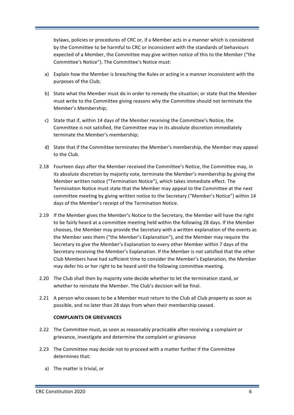bylaws, policies or procedures of CRC or, if a Member acts in a manner which is considered by the Committee to be harmful to CRC or inconsistent with the standards of behaviours expected of a Member, the Committee may give written notice of this to the Member ("the Committee's Notice"). The Committee's Notice must:

- a) Explain how the Member is breaching the Rules or acting in a manner inconsistent with the purposes of the Club;
- b) State what the Member must do in order to remedy the situation; or state that the Member must write to the Committee giving reasons why the Committee should not terminate the Member's Membership;
- c) State that if, within 14 days of the Member receiving the Committee's Notice, the Committee is not satisfied, the Committee may in its absolute discretion immediately terminate the Member's membership;
- d) State that if the Committee terminates the Member's membership, the Member may appeal to the Club.
- 2.18 Fourteen days after the Member received the Committee's Notice, the Committee may, in its absolute discretion by majority vote, terminate the Member's membership by giving the Member written notice ("Termination Notice"), which takes immediate effect. The Termination Notice must state that the Member may appeal to the Committee at the next committee meeting by giving written notice to the Secretary ("Member's Notice") within 14 days of the Member's receipt of the Termination Notice.
- 2.19 If the Member gives the Member's Notice to the Secretary, the Member will have the right to be fairly heard at a committee meeting held within the following 28 days. If the Member chooses, the Member may provide the Secretary with a written explanation of the events as the Member sees them ("the Member's Explanation"), and the Member may require the Secretary to give the Member's Explanation to every other Member within 7 days of the Secretary receiving the Member's Explanation. If the Member is not satisfied that the other Club Members have had sufficient time to consider the Member's Explanation, the Member may defer his or her right to be heard until the following committee meeting.
- 2.20 The Club shall then by majority vote decide whether to let the termination stand, or whether to reinstate the Member. The Club's decision will be final.
- 2.21 A person who ceases to be a Member must return to the Club all Club property as soon as possible, and no later than 28 days from when their membership ceased.

# **COMPLAINTS OR GRIEVANCES**

- 2.22 The Committee must, as soon as reasonably practicable after receiving a complaint or grievance, investigate and determine the complaint or grievance
- 2.23 The Committee may decide not to proceed with a matter further if the Committee determines that:
	- a) The matter is trivial, or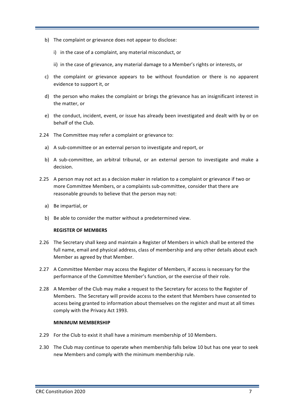- b) The complaint or grievance does not appear to disclose:
	- i) in the case of a complaint, any material misconduct, or
	- ii) in the case of grievance, any material damage to a Member's rights or interests, or
- c) the complaint or grievance appears to be without foundation or there is no apparent evidence to support it, or
- d) the person who makes the complaint or brings the grievance has an insignificant interest in the matter, or
- e) the conduct, incident, event, or issue has already been investigated and dealt with by or on behalf of the Club.
- 2.24 The Committee may refer a complaint or grievance to:
	- a) A sub-committee or an external person to investigate and report, or
	- b) A sub-committee, an arbitral tribunal, or an external person to investigate and make a decision.
- 2.25 A person may not act as a decision maker in relation to a complaint or grievance if two or more Committee Members, or a complaints sub-committee, consider that there are reasonable grounds to believe that the person may not:
	- a) Be impartial, or
	- b) Be able to consider the matter without a predetermined view.

# **REGISTER OF MEMBERS**

- 2.26 The Secretary shall keep and maintain a Register of Members in which shall be entered the full name, email and physical address, class of membership and any other details about each Member as agreed by that Member.
- 2.27 A Committee Member may access the Register of Members, if access is necessary for the performance of the Committee Member's function, or the exercise of their role.
- 2.28 A Member of the Club may make a request to the Secretary for access to the Register of Members. The Secretary will provide access to the extent that Members have consented to access being granted to information about themselves on the register and must at all times comply with the Privacy Act 1993.

# **MINIMUM MEMBERSHIP**

- 2.29 For the Club to exist it shall have a minimum membership of 10 Members.
- 2.30 The Club may continue to operate when membership falls below 10 but has one year to seek new Members and comply with the minimum membership rule.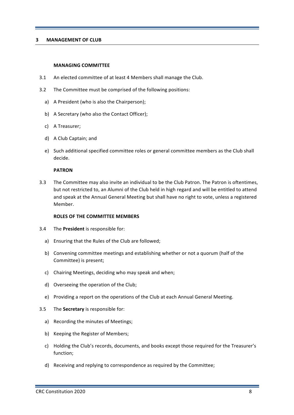### **3 MANAGEMENT OF CLUB**

#### **MANAGING COMMITTEE**

- 3.1 An elected committee of at least 4 Members shall manage the Club.
- 3.2 The Committee must be comprised of the following positions:
	- a) A President (who is also the Chairperson);
	- b) A Secretary (who also the Contact Officer);
	- c) A Treasurer;
	- d) A Club Captain; and
	- e) Such additional specified committee roles or general committee members as the Club shall decide.

#### **PATRON**

3.3 The Committee may also invite an individual to be the Club Patron. The Patron is oftentimes, but not restricted to, an Alumni of the Club held in high regard and will be entitled to attend and speak at the Annual General Meeting but shall have no right to vote, unless a registered Member.

#### **ROLES OF THE COMMITTEE MEMBERS**

- 3.4 The **President** is responsible for:
	- a) Ensuring that the Rules of the Club are followed;
	- b) Convening committee meetings and establishing whether or not a quorum (half of the Committee) is present;
	- c) Chairing Meetings, deciding who may speak and when:
	- d) Overseeing the operation of the Club;
	- e) Providing a report on the operations of the Club at each Annual General Meeting.
- 3.5 The **Secretary** is responsible for:
	- a) Recording the minutes of Meetings;
	- b) Keeping the Register of Members;
	- c) Holding the Club's records, documents, and books except those required for the Treasurer's function;
	- d) Receiving and replying to correspondence as required by the Committee;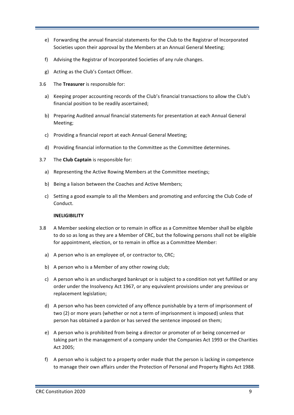- e) Forwarding the annual financial statements for the Club to the Registrar of Incorporated Societies upon their approval by the Members at an Annual General Meeting;
- f) Advising the Registrar of Incorporated Societies of any rule changes.
- g) Acting as the Club's Contact Officer.
- 3.6 The **Treasurer** is responsible for:
	- a) Keeping proper accounting records of the Club's financial transactions to allow the Club's financial position to be readily ascertained;
	- b) Preparing Audited annual financial statements for presentation at each Annual General Meeting;
	- c) Providing a financial report at each Annual General Meeting;
	- d) Providing financial information to the Committee as the Committee determines.
- 3.7 The **Club Captain** is responsible for:
	- a) Representing the Active Rowing Members at the Committee meetings;
	- b) Being a liaison between the Coaches and Active Members;
	- c) Setting a good example to all the Members and promoting and enforcing the Club Code of Conduct.

# **INELIGIBILITY**

- 3.8 A Member seeking election or to remain in office as a Committee Member shall be eligible to do so as long as they are a Member of CRC, but the following persons shall not be eligible for appointment, election, or to remain in office as a Committee Member:
	- a) A person who is an employee of, or contractor to, CRC;
	- b) A person who is a Member of any other rowing club;
	- c) A person who is an undischarged bankrupt or is subject to a condition not yet fulfilled or any order under the Insolvency Act 1967, or any equivalent provisions under any previous or replacement legislation;
	- d) A person who has been convicted of any offence punishable by a term of imprisonment of two (2) or more years (whether or not a term of imprisonment is imposed) unless that person has obtained a pardon or has served the sentence imposed on them;
	- e) A person who is prohibited from being a director or promoter of or being concerned or taking part in the management of a company under the Companies Act 1993 or the Charities Act 2005;
	- f) A person who is subject to a property order made that the person is lacking in competence to manage their own affairs under the Protection of Personal and Property Rights Act 1988.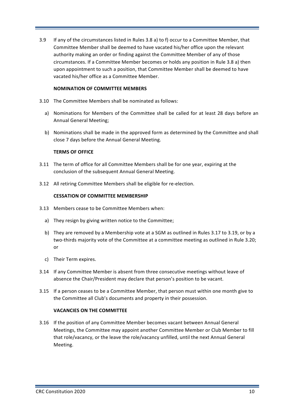3.9 If any of the circumstances listed in Rules 3.8 a) to f) occur to a Committee Member, that Committee Member shall be deemed to have vacated his/her office upon the relevant authority making an order or finding against the Committee Member of any of those circumstances. If a Committee Member becomes or holds any position in Rule 3.8 a) then upon appointment to such a position, that Committee Member shall be deemed to have vacated his/her office as a Committee Member.

# **NOMINATION OF COMMITTEE MEMBERS**

- 3.10 The Committee Members shall be nominated as follows:
	- a) Nominations for Members of the Committee shall be called for at least 28 days before an Annual General Meeting;
	- b) Nominations shall be made in the approved form as determined by the Committee and shall close 7 days before the Annual General Meeting.

#### **TERMS OF OFFICE**

- 3.11 The term of office for all Committee Members shall be for one year, expiring at the conclusion of the subsequent Annual General Meeting.
- 3.12 All retiring Committee Members shall be eligible for re-election.

#### **CESSATION OF COMMITTEE MEMBERSHIP**

- 3.13 Members cease to be Committee Members when:
	- a) They resign by giving written notice to the Committee;
	- b) They are removed by a Membership vote at a SGM as outlined in Rules 3.17 to 3.19, or by a two-thirds majority vote of the Committee at a committee meeting as outlined in Rule 3.20; or
	- c) Their Term expires.
- 3.14 If any Committee Member is absent from three consecutive meetings without leave of absence the Chair/President may declare that person's position to be vacant.
- 3.15 If a person ceases to be a Committee Member, that person must within one month give to the Committee all Club's documents and property in their possession.

### **VACANCIES ON THE COMMITTEE**

3.16 If the position of any Committee Member becomes vacant between Annual General Meetings, the Committee may appoint another Committee Member or Club Member to fill that role/vacancy, or the leave the role/vacancy unfilled, until the next Annual General Meeting.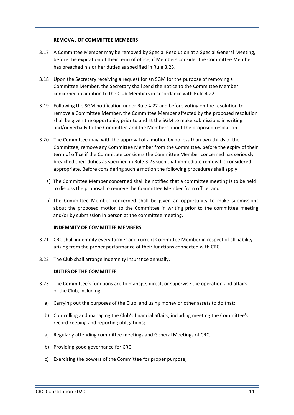#### **REMOVAL OF COMMITTEE MEMBERS**

- 3.17 A Committee Member may be removed by Special Resolution at a Special General Meeting. before the expiration of their term of office, if Members consider the Committee Member has breached his or her duties as specified in Rule 3.23.
- 3.18 Upon the Secretary receiving a request for an SGM for the purpose of removing a Committee Member, the Secretary shall send the notice to the Committee Member concerned in addition to the Club Members in accordance with Rule 4.22.
- 3.19 Following the SGM notification under Rule 4.22 and before voting on the resolution to remove a Committee Member, the Committee Member affected by the proposed resolution shall be given the opportunity prior to and at the SGM to make submissions in writing and/or verbally to the Committee and the Members about the proposed resolution.
- 3.20 The Committee may, with the approval of a motion by no less than two-thirds of the Committee, remove any Committee Member from the Committee, before the expiry of their term of office if the Committee considers the Committee Member concerned has seriously breached their duties as specified in Rule 3.23 such that immediate removal is considered appropriate. Before considering such a motion the following procedures shall apply:
	- a) The Committee Member concerned shall be notified that a committee meeting is to be held to discuss the proposal to remove the Committee Member from office; and
	- b) The Committee Member concerned shall be given an opportunity to make submissions about the proposed motion to the Committee in writing prior to the committee meeting and/or by submission in person at the committee meeting.

# **INDEMNITY OF COMMITTEE MEMBERS**

- 3.21 CRC shall indemnify every former and current Committee Member in respect of all liability arising from the proper performance of their functions connected with CRC.
- 3.22 The Club shall arrange indemnity insurance annually.

# **DUTIES OF THE COMMITTEE**

- 3.23 The Committee's functions are to manage, direct, or supervise the operation and affairs of the Club, including:
	- a) Carrying out the purposes of the Club, and using money or other assets to do that;
	- b) Controlling and managing the Club's financial affairs, including meeting the Committee's record keeping and reporting obligations;
	- a) Regularly attending committee meetings and General Meetings of CRC;
	- b) Providing good governance for CRC;
	- c) Exercising the powers of the Committee for proper purpose;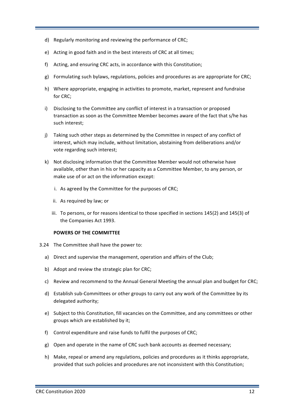- d) Regularly monitoring and reviewing the performance of CRC;
- e) Acting in good faith and in the best interests of CRC at all times:
- f) Acting, and ensuring CRC acts, in accordance with this Constitution;
- $g$ ) Formulating such bylaws, regulations, policies and procedures as are appropriate for CRC;
- h) Where appropriate, engaging in activities to promote, market, represent and fundraise for CRC;
- i) Disclosing to the Committee any conflict of interest in a transaction or proposed transaction as soon as the Committee Member becomes aware of the fact that s/he has such interest:
- j) Taking such other steps as determined by the Committee in respect of any conflict of interest, which may include, without limitation, abstaining from deliberations and/or vote regarding such interest;
- k) Not disclosing information that the Committee Member would not otherwise have available, other than in his or her capacity as a Committee Member, to any person, or make use of or act on the information except:
	- i. As agreed by the Committee for the purposes of CRC;
	- ii. As required by law; or
	- iii. To persons, or for reasons identical to those specified in sections 145(2) and 145(3) of the Companies Act 1993.

# **POWERS OF THE COMMITTEE**

- 3.24 The Committee shall have the power to:
	- a) Direct and supervise the management, operation and affairs of the Club;
	- b) Adopt and review the strategic plan for CRC;
	- c) Review and recommend to the Annual General Meeting the annual plan and budget for CRC;
	- d) Establish sub-Committees or other groups to carry out any work of the Committee by its delegated authority;
	- e) Subject to this Constitution, fill vacancies on the Committee, and any committees or other groups which are established by it;
	- f) Control expenditure and raise funds to fulfil the purposes of CRC;
	- g) Open and operate in the name of CRC such bank accounts as deemed necessary;
	- h) Make, repeal or amend any regulations, policies and procedures as it thinks appropriate, provided that such policies and procedures are not inconsistent with this Constitution;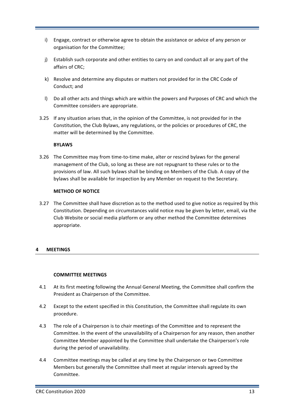- i) Engage, contract or otherwise agree to obtain the assistance or advice of any person or organisation for the Committee;
- j) Establish such corporate and other entities to carry on and conduct all or any part of the affairs of CRC;
- k) Resolve and determine any disputes or matters not provided for in the CRC Code of Conduct; and
- I) Do all other acts and things which are within the powers and Purposes of CRC and which the Committee considers are appropriate.
- 3.25 If any situation arises that, in the opinion of the Committee, is not provided for in the Constitution, the Club Bylaws, any regulations, or the policies or procedures of CRC, the matter will be determined by the Committee.

# **BYLAWS**

3.26 The Committee may from time-to-time make, alter or rescind bylaws for the general management of the Club, so long as these are not repugnant to these rules or to the provisions of law. All such bylaws shall be binding on Members of the Club. A copy of the bylaws shall be available for inspection by any Member on request to the Secretary.

# **METHOD OF NOTICE**

3.27 The Committee shall have discretion as to the method used to give notice as required by this Constitution. Depending on circumstances valid notice may be given by letter, email, via the Club Website or social media platform or any other method the Committee determines appropriate.

# **4 MEETINGS**

# **COMMITTEE MEETINGS**

- 4.1 At its first meeting following the Annual General Meeting, the Committee shall confirm the President as Chairperson of the Committee.
- 4.2 Except to the extent specified in this Constitution, the Committee shall regulate its own procedure.
- 4.3 The role of a Chairperson is to chair meetings of the Committee and to represent the Committee. In the event of the unavailability of a Chairperson for any reason, then another Committee Member appointed by the Committee shall undertake the Chairperson's role during the period of unavailability.
- 4.4 Committee meetings may be called at any time by the Chairperson or two Committee Members but generally the Committee shall meet at regular intervals agreed by the Committee.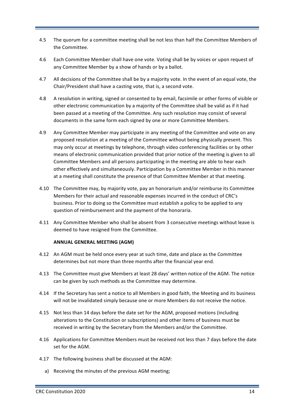- 4.5 The quorum for a committee meeting shall be not less than half the Committee Members of the Committee.
- 4.6 Each Committee Member shall have one vote. Voting shall be by voices or upon request of any Committee Member by a show of hands or by a ballot.
- 4.7 All decisions of the Committee shall be by a majority vote. In the event of an equal vote, the Chair/President shall have a casting vote, that is, a second vote.
- 4.8 A resolution in writing, signed or consented to by email, facsimile or other forms of visible or other electronic communication by a majority of the Committee shall be valid as if it had been passed at a meeting of the Committee. Any such resolution may consist of several documents in the same form each signed by one or more Committee Members.
- 4.9 Any Committee Member may participate in any meeting of the Committee and vote on any proposed resolution at a meeting of the Committee without being physically present. This may only occur at meetings by telephone, through video conferencing facilities or by other means of electronic communication provided that prior notice of the meeting is given to all Committee Members and all persons participating in the meeting are able to hear each other effectively and simultaneously. Participation by a Committee Member in this manner at a meeting shall constitute the presence of that Committee Member at that meeting.
- 4.10 The Committee may, by majority vote, pay an honorarium and/or reimburse its Committee Members for their actual and reasonable expenses incurred in the conduct of CRC's business. Prior to doing so the Committee must establish a policy to be applied to any question of reimbursement and the payment of the honoraria.
- 4.11 Any Committee Member who shall be absent from 3 consecutive meetings without leave is deemed to have resigned from the Committee.

# **ANNUAL GENERAL MEETING (AGM)**

- 4.12 An AGM must be held once every year at such time, date and place as the Committee determines but not more than three months after the financial year end.
- 4.13 The Committee must give Members at least 28 days' written notice of the AGM. The notice can be given by such methods as the Committee may determine.
- 4.14 If the Secretary has sent a notice to all Members in good faith, the Meeting and its business will not be invalidated simply because one or more Members do not receive the notice.
- 4.15 Not less than 14 days before the date set for the AGM, proposed motions (including alterations to the Constitution or subscriptions) and other items of business must be received in writing by the Secretary from the Members and/or the Committee.
- 4.16 Applications for Committee Members must be received not less than 7 days before the date set for the AGM.
- 4.17 The following business shall be discussed at the AGM:
	- a) Receiving the minutes of the previous AGM meeting;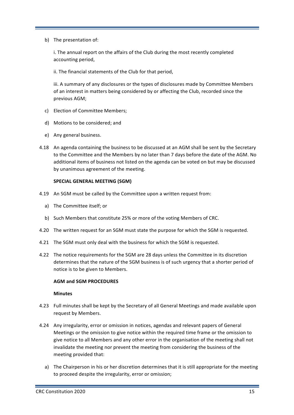b) The presentation of:

i. The annual report on the affairs of the Club during the most recently completed accounting period,

ii. The financial statements of the Club for that period,

iii. A summary of any disclosures or the types of disclosures made by Committee Members of an interest in matters being considered by or affecting the Club, recorded since the previous AGM;

- c) Election of Committee Members;
- d) Motions to be considered; and
- e) Any general business.
- 4.18 An agenda containing the business to be discussed at an AGM shall be sent by the Secretary to the Committee and the Members by no later than 7 days before the date of the AGM. No additional items of business not listed on the agenda can be voted on but may be discussed by unanimous agreement of the meeting.

# **SPECIAL GENERAL MEETING (SGM)**

- 4.19 An SGM must be called by the Committee upon a written request from:
	- a) The Committee itself; or
	- b) Such Members that constitute 25% or more of the voting Members of CRC.
- 4.20 The written request for an SGM must state the purpose for which the SGM is requested.
- 4.21 The SGM must only deal with the business for which the SGM is requested.
- 4.22 The notice requirements for the SGM are 28 days unless the Committee in its discretion determines that the nature of the SGM business is of such urgency that a shorter period of notice is to be given to Members.

#### **AGM and SGM PROCEDURES**

#### **Minutes**

- 4.23 Full minutes shall be kept by the Secretary of all General Meetings and made available upon request by Members.
- 4.24 Any irregularity, error or omission in notices, agendas and relevant papers of General Meetings or the omission to give notice within the required time frame or the omission to give notice to all Members and any other error in the organisation of the meeting shall not invalidate the meeting nor prevent the meeting from considering the business of the meeting provided that:
	- a) The Chairperson in his or her discretion determines that it is still appropriate for the meeting to proceed despite the irregularity, error or omission;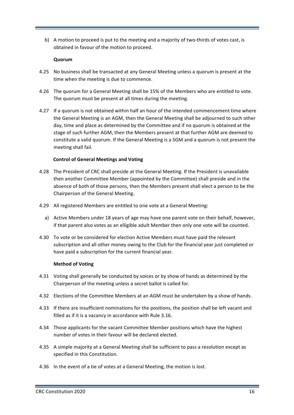b) A motion to proceed is put to the meeting and a majority of two-thirds of votes cast, is obtained in favour of the motion to proceed.

# **Quorum**

- 4.25 No business shall be transacted at any General Meeting unless a quorum is present at the time when the meeting is due to commence.
- 4.26 The quorum for a General Meeting shall be 15% of the Members who are entitled to vote. The quorum must be present at all times during the meeting.
- 4.27 If a quorum is not obtained within half an hour of the intended commencement time where the General Meeting is an AGM, then the General Meeting shall be adjourned to such other day, time and place as determined by the Committee and if no quorum is obtained at the stage of such further AGM, then the Members present at that further AGM are deemed to constitute a valid quorum. If the General Meeting is a SGM and a quorum is not present the meeting shall fail.

# **Control of General Meetings and Voting**

- 4.28 The President of CRC shall preside at the General Meeting. If the President is unavailable then another Committee Member (appointed by the Committee) shall preside and in the absence of both of those persons, then the Members present shall elect a person to be the Chairperson of the General Meeting.
- 4.29 All registered Members are entitled to one vote at a General Meeting:
	- a) Active Members under 18 years of age may have one parent vote on their behalf, however, if that parent also votes as an elligible adult Member then only one vote will be counted.
- 4.30 To vote or be considered for election Active Members must have paid the relevant subscription and all other money owing to the Club for the financial year just completed or have paid a subscription for the current financial year.

# **Method of Voting**

- 4.31 Voting shall generally be conducted by voices or by show of hands as determined by the Chairperson of the meeting unless a secret ballot is called for.
- 4.32 Elections of the Committee Members at an AGM must be undertaken by a show of hands.
- 4.33 If there are insufficient nominations for the positions, the position shall be left vacant and filled as if it is a vacancy in accordance with Rule 3.16.
- 4.34 Those applicants for the vacant Committee Member positions which have the highest number of votes in their favour will be declared elected.
- 4.35 A simple majority at a General Meeting shall be sufficient to pass a resolution except as specified in this Constitution.
- 4.36 In the event of a tie of votes at a General Meeting, the motion is lost.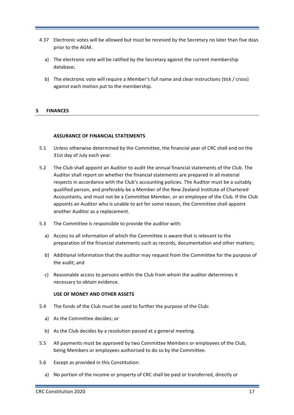- 4.37 Electronic votes will be allowed but must be received by the Secretary no later than five days prior to the AGM.
	- a) The electronic vote will be ratified by the Secretary against the current membership database;
	- b) The electronic vote will require a Member's full name and clear instructions (tick / cross) against each motion put to the membership.

# **5 FINANCES**

#### **ASSURANCE OF FINANCIAL STATEMENTS**

- 5.1 Unless otherwise determined by the Committee, the financial year of CRC shall end on the 31st day of July each year.
- 5.2 The Club shall appoint an Auditor to audit the annual financial statements of the Club. The Auditor shall report on whether the financial statements are prepared in all material respects in accordance with the Club's accounting policies. The Auditor must be a suitably qualified person, and preferably be a Member of the New Zealand Institute of Chartered Accountants, and must not be a Committee Member, or an employee of the Club. If the Club appoints an Auditor who is unable to act for some reason, the Committee shall appoint another Auditor as a replacement.
- 5.3 The Committee is responsible to provide the auditor with:
	- a) Access to all information of which the Committee is aware that is relevant to the preparation of the financial statements such as records, documentation and other matters;
	- b) Additional information that the auditor may request from the Committee for the purpose of the audit; and
	- c) Reasonable access to persons within the Club from whom the auditor determines it necessary to obtain evidence.

#### **USE OF MONEY AND OTHER ASSETS**

- 5.4 The funds of the Club must be used to further the purpose of the Club:
	- a) As the Committee decides; or
	- b) As the Club decides by a resolution passed at a general meeting.
- 5.5 All payments must be approved by two Committee Members or employees of the Club, being Members or employees authorised to do so by the Committee.
- 5.6 Except as provided in this Constitution:
	- a) No portion of the income or property of CRC shall be paid or transferred, directly or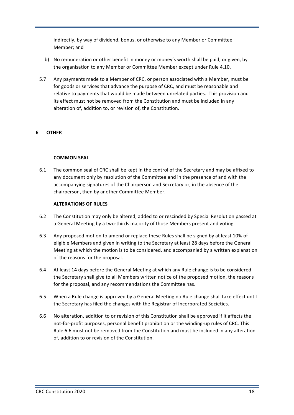indirectly, by way of dividend, bonus, or otherwise to any Member or Committee Member; and

- b) No remuneration or other benefit in money or money's worth shall be paid, or given, by the organisation to any Member or Committee Member except under Rule 4.10.
- 5.7 Any payments made to a Member of CRC, or person associated with a Member, must be for goods or services that advance the purpose of CRC, and must be reasonable and relative to payments that would be made between unrelated parties. This provision and its effect must not be removed from the Constitution and must be included in any alteration of, addition to, or revision of, the Constitution.

# **6 OTHER**

# **COMMON SEAL**

6.1 The common seal of CRC shall be kept in the control of the Secretary and may be affixed to any document only by resolution of the Committee and in the presence of and with the accompanying signatures of the Chairperson and Secretary or, in the absence of the chairperson, then by another Committee Member.

#### **ALTERATIONS OF RULES**

- 6.2 The Constitution may only be altered, added to or rescinded by Special Resolution passed at a General Meeting by a two-thirds majority of those Members present and voting.
- 6.3 Any proposed motion to amend or replace these Rules shall be signed by at least 10% of eligible Members and given in writing to the Secretary at least 28 days before the General Meeting at which the motion is to be considered, and accompanied by a written explanation of the reasons for the proposal.
- 6.4 At least 14 days before the General Meeting at which any Rule change is to be considered the Secretary shall give to all Members written notice of the proposed motion, the reasons for the proposal, and any recommendations the Committee has.
- 6.5 When a Rule change is approved by a General Meeting no Rule change shall take effect until the Secretary has filed the changes with the Registrar of Incorporated Societies.
- 6.6 No alteration, addition to or revision of this Constitution shall be approved if it affects the not-for-profit purposes, personal benefit prohibition or the winding-up rules of CRC. This Rule 6.6 must not be removed from the Constitution and must be included in any alteration of, addition to or revision of the Constitution.